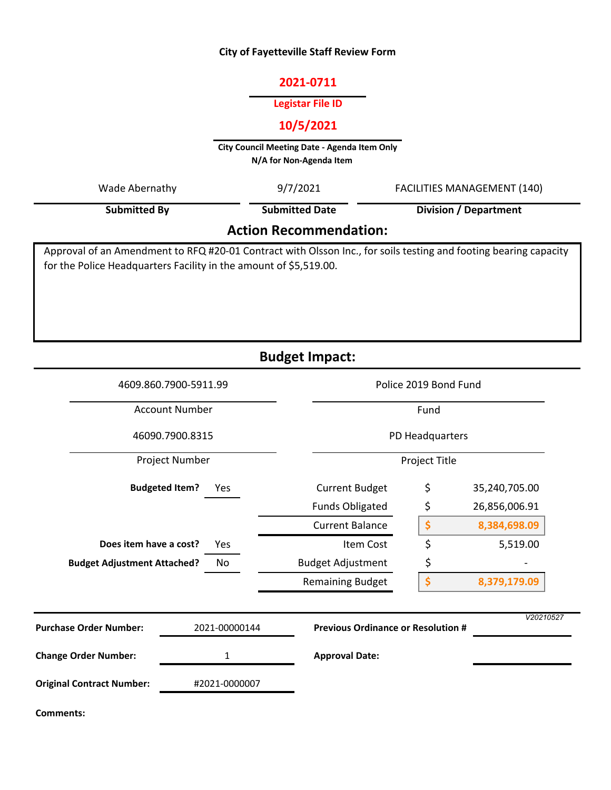#### **City of Fayetteville Staff Review Form**

#### **2021-0711**

#### **Legistar File ID**

## **10/5/2021**

**City Council Meeting Date - Agenda Item Only N/A for Non-Agenda Item** 

Wade Abernathy **FACILITIES MANAGEMENT** (140)

**Submitted By**

9/7/2021 **Submitted Date**

**Division / Department**

# **Action Recommendation:**

Approval of an Amendment to RFQ #20-01 Contract with Olsson Inc., for soils testing and footing bearing capacity for the Police Headquarters Facility in the amount of \$5,519.00.

**Budget Impact:**

| 4609.860.7900-5911.99<br><b>Account Number</b><br>46090.7900.8315 |                              |                                           | Police 2019 Bond Fund<br>Fund<br>PD Headquarters |               |  |
|-------------------------------------------------------------------|------------------------------|-------------------------------------------|--------------------------------------------------|---------------|--|
|                                                                   |                              |                                           |                                                  |               |  |
|                                                                   |                              |                                           |                                                  |               |  |
| Project Number                                                    |                              |                                           | Project Title                                    |               |  |
|                                                                   | <b>Budgeted Item?</b><br>Yes | <b>Current Budget</b>                     | \$                                               | 35,240,705.00 |  |
|                                                                   |                              | <b>Funds Obligated</b>                    | \$                                               | 26,856,006.91 |  |
|                                                                   |                              | <b>Current Balance</b>                    | \$                                               | 8,384,698.09  |  |
| Does item have a cost?                                            | Yes                          | Item Cost                                 | \$                                               | 5,519.00      |  |
| <b>Budget Adjustment Attached?</b>                                | No                           | <b>Budget Adjustment</b>                  | \$                                               |               |  |
|                                                                   |                              | <b>Remaining Budget</b>                   | \$                                               | 8,379,179.09  |  |
| <b>Purchase Order Number:</b>                                     | 2021-00000144                | <b>Previous Ordinance or Resolution #</b> |                                                  | V20210527     |  |
| <b>Change Order Number:</b>                                       | 1                            | <b>Approval Date:</b>                     |                                                  |               |  |
| <b>Original Contract Number:</b>                                  | #2021-0000007                |                                           |                                                  |               |  |
| <b>Comments:</b>                                                  |                              |                                           |                                                  |               |  |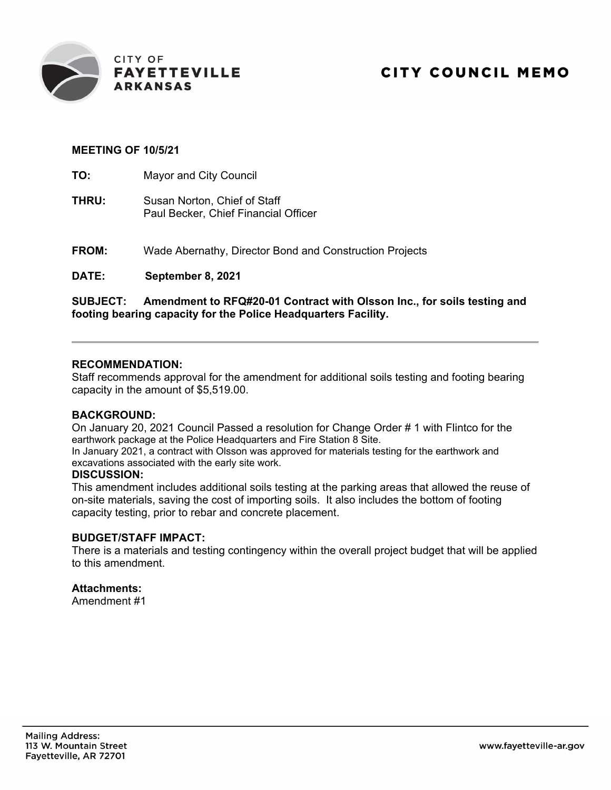

### **MEETING OF 10/5/21**

**TO:** Mayor and City Council

- **THRU:** Susan Norton, Chief of Staff Paul Becker, Chief Financial Officer
- **FROM:** Wade Abernathy, Director Bond and Construction Projects

**DATE: September 8, 2021**

**SUBJECT: Amendment to RFQ#20-01 Contract with Olsson Inc., for soils testing and footing bearing capacity for the Police Headquarters Facility.** 

#### **RECOMMENDATION:**

Staff recommends approval for the amendment for additional soils testing and footing bearing capacity in the amount of \$5,519.00.

#### **BACKGROUND:**

On January 20, 2021 Council Passed a resolution for Change Order # 1 with Flintco for the earthwork package at the Police Headquarters and Fire Station 8 Site.

In January 2021, a contract with Olsson was approved for materials testing for the earthwork and excavations associated with the early site work.

#### **DISCUSSION:**

This amendment includes additional soils testing at the parking areas that allowed the reuse of on-site materials, saving the cost of importing soils. It also includes the bottom of footing capacity testing, prior to rebar and concrete placement.

#### **BUDGET/STAFF IMPACT:**

There is a materials and testing contingency within the overall project budget that will be applied to this amendment.

#### **Attachments:**

Amendment #1